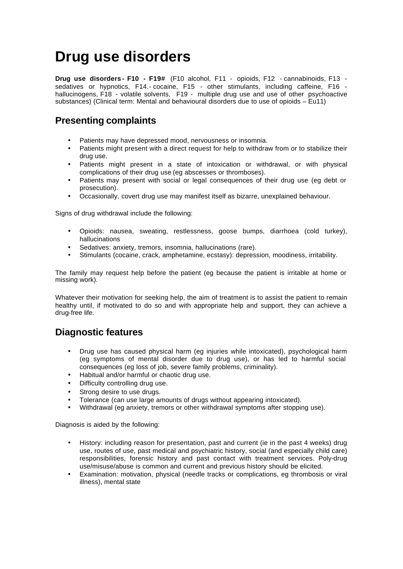# **Drug use disorders**

**Drug use disorders - F10 - F19#** (F10 alcohol, F11 - opioids, F12 - cannabinoids, F13 sedatives or hypnotics, F14.- cocaine, F15 - other stimulants, including caffeine, F16 hallucinogens, F18 - volatile solvents, F19 - multiple drug use and use of other psychoactive substances) (Clinical term: Mental and behavioural disorders due to use of opioids – Eu11)

# **Presenting complaints**

- Patients may have depressed mood, nervousness or insomnia.
- Patients might present with a direct request for help to withdraw from or to stabilize their drug use.
- Patients might present in a state of intoxication or withdrawal, or with physical complications of their drug use (eg abscesses or thromboses).
- Patients may present with social or legal consequences of their drug use (eg debt or prosecution).
- Occasionally, covert drug use may manifest itself as bizarre, unexplained behaviour.

Signs of drug withdrawal include the following:

- Opioids: nausea, sweating, restlessness, goose bumps, diarrhoea (cold turkey), hallucinations
- Sedatives: anxiety, tremors, insomnia, hallucinations (rare).
- Stimulants (cocaine, crack, amphetamine, ecstasy): depression, moodiness, irritability.

The family may request help before the patient (eg because the patient is irritable at home or missing work).

Whatever their motivation for seeking help, the aim of treatment is to assist the patient to remain healthy until, if motivated to do so and with appropriate help and support, they can achieve a drug-free life.

### **Diagnostic features**

- Drug use has caused physical harm (eg injuries while intoxicated), psychological harm (eg symptoms of mental disorder due to drug use), or has led to harmful social consequences (eg loss of job, severe family problems, criminality).
- Habitual and/or harmful or chaotic drug use.
- Difficulty controlling drug use.
- Strong desire to use drugs.
- Tolerance (can use large amounts of drugs without appearing intoxicated).
- Withdrawal (eg anxiety, tremors or other withdrawal symptoms after stopping use).

Diagnosis is aided by the following:

- History: including reason for presentation, past and current (ie in the past 4 weeks) drug use, routes of use, past medical and psychiatric history, social (and especially child care) responsibilities, forensic history and past contact with treatment services. Poly-drug use/misuse/abuse is common and current and previous history should be elicited.
- Examination: motivation, physical (needle tracks or complications, eg thrombosis or viral illness), mental state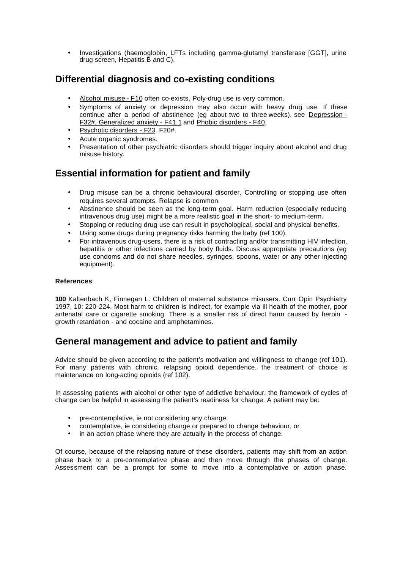• Investigations (haemoglobin, LFTs including gamma-glutamyl transferase [GGT], urine drug screen, Hepatitis B and C).

## **Differential diagnosis and co-existing conditions**

- Alcohol misuse F10 often co-exists. Poly-drug use is very common.
- Symptoms of anxiety or depression may also occur with heavy drug use. If these continue after a period of abstinence (eg about two to three weeks), see Depression - F32#, Generalized anxiety - F41.1 and Phobic disorders - F40.
- Psychotic disorders F23, F20#.
- Acute organic syndromes.
- Presentation of other psychiatric disorders should trigger inquiry about alcohol and drug misuse history.

# **Essential information for patient and family**

- Drug misuse can be a chronic behavioural disorder. Controlling or stopping use often requires several attempts. Relapse is common.
- Abstinence should be seen as the long-term goal. Harm reduction (especially reducing intravenous drug use) might be a more realistic goal in the short- to medium-term.
- Stopping or reducing drug use can result in psychological, social and physical benefits.
- Using some drugs during pregnancy risks harming the baby (ref 100).
- For intravenous drug-users, there is a risk of contracting and/or transmitting HIV infection, hepatitis or other infections carried by body fluids. Discuss appropriate precautions (eg use condoms and do not share needles, syringes, spoons, water or any other injecting equipment).

#### **References**

**100** Kaltenbach K, Finnegan L. Children of maternal substance misusers. Curr Opin Psychiatry 1997, 10: 220-224. Most harm to children is indirect, for example via ill health of the mother, poor antenatal care or cigarette smoking. There is a smaller risk of direct harm caused by heroin growth retardation - and cocaine and amphetamines.

# **General management and advice to patient and family**

Advice should be given according to the patient's motivation and willingness to change (ref 101). For many patients with chronic, relapsing opioid dependence, the treatment of choice is maintenance on long-acting opioids (ref 102).

In assessing patients with alcohol or other type of addictive behaviour, the framework of cycles of change can be helpful in assessing the patient's readiness for change. A patient may be:

- pre-contemplative, ie not considering any change
- contemplative, ie considering change or prepared to change behaviour, or
- in an action phase where they are actually in the process of change.

Of course, because of the relapsing nature of these disorders, patients may shift from an action phase back to a pre-contemplative phase and then move through the phases of change. Assessment can be a prompt for some to move into a contemplative or action phase.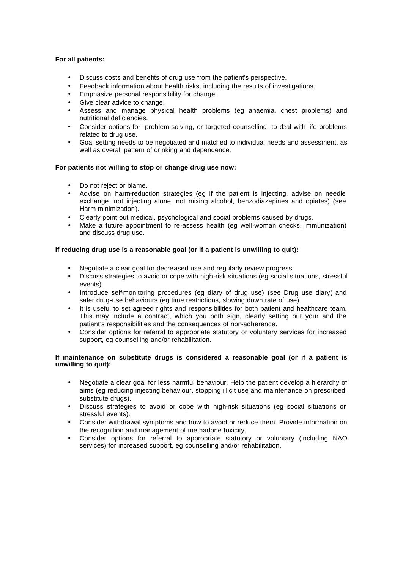#### **For all patients:**

- Discuss costs and benefits of drug use from the patient's perspective.
- Feedback information about health risks, including the results of investigations.
- Emphasize personal responsibility for change.
- Give clear advice to change.
- Assess and manage physical health problems (eg anaemia, chest problems) and nutritional deficiencies.
- Consider options for problem-solving, or targeted counselling, to deal with life problems related to drug use.
- Goal setting needs to be negotiated and matched to individual needs and assessment, as well as overall pattern of drinking and dependence.

#### **For patients not willing to stop or change drug use now:**

- Do not reject or blame.
- Advise on harm-reduction strategies (eg if the patient is injecting, advise on needle exchange, not injecting alone, not mixing alcohol, benzodiazepines and opiates) (see Harm minimization).
- Clearly point out medical, psychological and social problems caused by drugs.
- Make a future appointment to re-assess health (eg well-woman checks, immunization) and discuss drug use.

#### **If reducing drug use is a reasonable goal (or if a patient is unwilling to quit):**

- Negotiate a clear goal for decreased use and regularly review progress.
- Discuss strategies to avoid or cope with high-risk situations (eg social situations, stressful events).
- Introduce self-monitoring procedures (eg diary of drug use) (see Drug use diary) and safer drug-use behaviours (eg time restrictions, slowing down rate of use).
- It is useful to set agreed rights and responsibilities for both patient and healthcare team. This may include a contract, which you both sign, clearly setting out your and the patient's responsibilities and the consequences of non-adherence.
- Consider options for referral to appropriate statutory or voluntary services for increased support, eg counselling and/or rehabilitation.

#### **If maintenance on substitute drugs is considered a reasonable goal (or if a patient is unwilling to quit):**

- Negotiate a clear goal for less harmful behaviour. Help the patient develop a hierarchy of aims (eg reducing injecting behaviour, stopping illicit use and maintenance on prescribed, substitute drugs).
- Discuss strategies to avoid or cope with high-risk situations (eg social situations or stressful events).
- Consider withdrawal symptoms and how to avoid or reduce them. Provide information on the recognition and management of methadone toxicity.
- Consider options for referral to appropriate statutory or voluntary (including NAO services) for increased support, eg counselling and/or rehabilitation.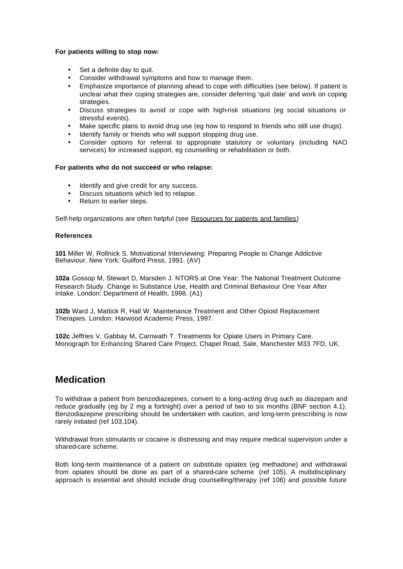#### **For patients willing to stop now:**

- Set a definite day to quit.
- Consider withdrawal symptoms and how to manage them.
- Emphasize importance of planning ahead to cope with difficulties (see below). If patient is unclear what their coping strategies are, consider deferring 'quit date' and work on coping strategies.
- Discuss strategies to avoid or cope with high-risk situations (eg social situations or stressful events).
- Make specific plans to avoid drug use (eg how to respond to friends who still use drugs).
- Identify family or friends who will support stopping drug use.
- Consider options for referral to appropriate statutory or voluntary (including NAO services) for increased support, eg counselling or rehabilitation or both.

#### **For patients who do not succeed or who relapse:**

- Identify and give credit for any success.
- Discuss situations which led to relapse.
- Return to earlier steps.

Self-help organizations are often helpful (see Resources for patients and families)

#### **References**

**101** Miller W, Rollnick S. Motivational Interviewing: Preparing People to Change Addictive Behaviour. New York: Guilford Press, 1991. (AV)

**102a** Gossop M, Stewart D, Marsden J. NTORS at One Year: The National Treatment Outcome Research Study. Change in Substance Use, Health and Criminal Behaviour One Year After Intake. London: Department of Health, 1998. (A1)

**102b** Ward J, Mattick R, Hall W. Maintenance Treatment and Other Opioid Replacement Therapies. London: Harwood Academic Press, 1997.

**102c** Jeffries V, Gabbay M, Carnwath T. Treatments for Opiate Users in Primary Care. Monograph for Enhancing Shared Care Project, Chapel Road, Sale, Manchester M33 7FD, UK.

### **Medication**

To withdraw a patient from benzodiazepines, convert to a long-acting drug such as diazepam and reduce gradually (eg by 2 mg a fortnight) over a period of two to six months (BNF section 4.1). Benzodiazepine prescribing should be undertaken with caution, and long-term prescribing is now rarely initiated (ref 103,104).

Withdrawal from stimulants or cocaine is distressing and may require medical supervision under a shared-care scheme.

Both long-term maintenance of a patient on substitute opiates (eg methadone) and withdrawal from opiates should be done as part of a shared-care scheme (ref 105). A multidisciplinary approach is essential and should include drug counselling/therapy (ref 106) and possible future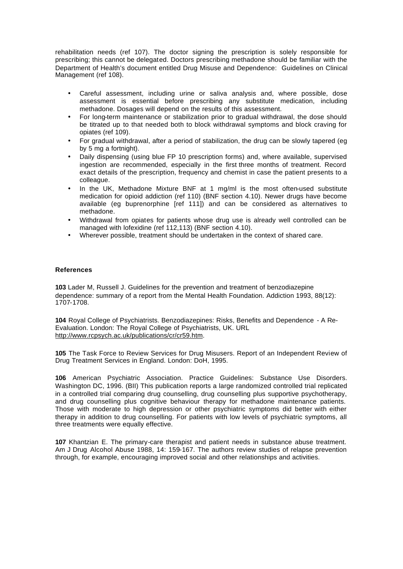rehabilitation needs (ref 107). The doctor signing the prescription is solely responsible for prescribing; this cannot be delegated. Doctors prescribing methadone should be familiar with the Department of Health's document entitled Drug Misuse and Dependence: Guidelines on Clinical Management (ref 108).

- Careful assessment, including urine or saliva analysis and, where possible, dose assessment is essential before prescribing any substitute medication, including methadone. Dosages will depend on the results of this assessment.
- For long-term maintenance or stabilization prior to gradual withdrawal, the dose should be titrated up to that needed both to block withdrawal symptoms and block craving for opiates (ref 109).
- For gradual withdrawal, after a period of stabilization, the drug can be slowly tapered (eg by 5 mg a fortnight).
- Daily dispensing (using blue FP 10 prescription forms) and, where available, supervised ingestion are recommended, especially in the first three months of treatment. Record exact details of the prescription, frequency and chemist in case the patient presents to a colleague.
- In the UK, Methadone Mixture BNF at 1 mg/ml is the most often-used substitute medication for opioid addiction (ref 110) (BNF section 4.10). Newer drugs have become available (eg buprenorphine [ref 111]) and can be considered as alternatives to methadone.
- Withdrawal from opiates for patients whose drug use is already well controlled can be managed with lofexidine (ref 112,113) (BNF section 4.10).
- Wherever possible, treatment should be undertaken in the context of shared care.

#### **References**

**103** Lader M, Russell J. Guidelines for the prevention and treatment of benzodiazepine dependence: summary of a report from the Mental Health Foundation. Addiction 1993, 88(12): 1707-1708.

**104** Royal College of Psychiatrists. Benzodiazepines: Risks, Benefits and Dependence - A Re-Evaluation. London: The Royal College of Psychiatrists, UK. URL http://www.rcpsych.ac.uk/publications/cr/cr59.htm.

**105** The Task Force to Review Services for Drug Misusers. Report of an Independent Review of Drug Treatment Services in England. London: DoH, 1995.

**106** American Psychiatric Association. Practice Guidelines: Substance Use Disorders. Washington DC, 1996. (BII) This publication reports a large randomized controlled trial replicated in a controlled trial comparing drug counselling, drug counselling plus supportive psychotherapy, and drug counselling plus cognitive behaviour therapy for methadone maintenance patients. Those with moderate to high depression or other psychiatric symptoms did better with either therapy in addition to drug counselling. For patients with low levels of psychiatric symptoms, all three treatments were equally effective.

**107** Khantzian E. The primary-care therapist and patient needs in substance abuse treatment. Am J Drug Alcohol Abuse 1988, 14: 159-167. The authors review studies of relapse prevention through, for example, encouraging improved social and other relationships and activities.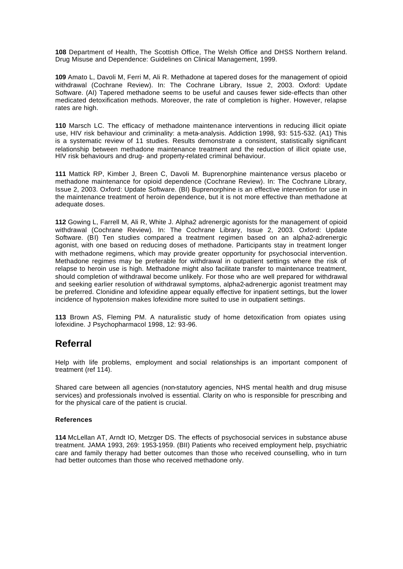**108** Department of Health, The Scottish Office, The Welsh Office and DHSS Northern Ireland. Drug Misuse and Dependence: Guidelines on Clinical Management, 1999.

**109** Amato L, Davoli M, Ferri M, Ali R. Methadone at tapered doses for the management of opioid withdrawal (Cochrane Review). In: The Cochrane Library, Issue 2, 2003. Oxford: Update Software. (AI) Tapered methadone seems to be useful and causes fewer side-effects than other medicated detoxification methods. Moreover, the rate of completion is higher. However, relapse rates are high.

**110** Marsch LC. The efficacy of methadone maintenance interventions in reducing illicit opiate use, HIV risk behaviour and criminality: a meta-analysis. Addiction 1998, 93: 515-532. (A1) This is a systematic review of 11 studies. Results demonstrate a consistent, statistically significant relationship between methadone maintenance treatment and the reduction of illicit opiate use, HIV risk behaviours and drug- and property-related criminal behaviour.

**111** Mattick RP, Kimber J, Breen C, Davoli M. Buprenorphine maintenance versus placebo or methadone maintenance for opioid dependence (Cochrane Review). In: The Cochrane Library, Issue 2, 2003. Oxford: Update Software. (BI) Buprenorphine is an effective intervention for use in the maintenance treatment of heroin dependence, but it is not more effective than methadone at adequate doses.

**112** Gowing L, Farrell M, Ali R, White J. Alpha2 adrenergic agonists for the management of opioid withdrawal (Cochrane Review). In: The Cochrane Library, Issue 2, 2003. Oxford: Update Software. (BI) Ten studies compared a treatment regimen based on an alpha2-adrenergic agonist, with one based on reducing doses of methadone. Participants stay in treatment longer with methadone regimens, which may provide greater opportunity for psychosocial intervention. Methadone regimes may be preferable for withdrawal in outpatient settings where the risk of relapse to heroin use is high. Methadone might also facilitate transfer to maintenance treatment, should completion of withdrawal become unlikely. For those who are well prepared for withdrawal and seeking earlier resolution of withdrawal symptoms, alpha2-adrenergic agonist treatment may be preferred. Clonidine and lofexidine appear equally effective for inpatient settings, but the lower incidence of hypotension makes lofexidine more suited to use in outpatient settings.

**113** Brown AS, Fleming PM. A naturalistic study of home detoxification from opiates using lofexidine. J Psychopharmacol 1998, 12: 93-96.

### **Referral**

Help with life problems, employment and social relationships is an important component of treatment (ref 114).

Shared care between all agencies (non-statutory agencies, NHS mental health and drug misuse services) and professionals involved is essential. Clarity on who is responsible for prescribing and for the physical care of the patient is crucial.

#### **References**

**114** McLellan AT, Arndt IO, Metzger DS. The effects of psychosocial services in substance abuse treatment. JAMA 1993, 269: 1953-1959. (BII) Patients who received employment help, psychiatric care and family therapy had better outcomes than those who received counselling, who in turn had better outcomes than those who received methadone only.